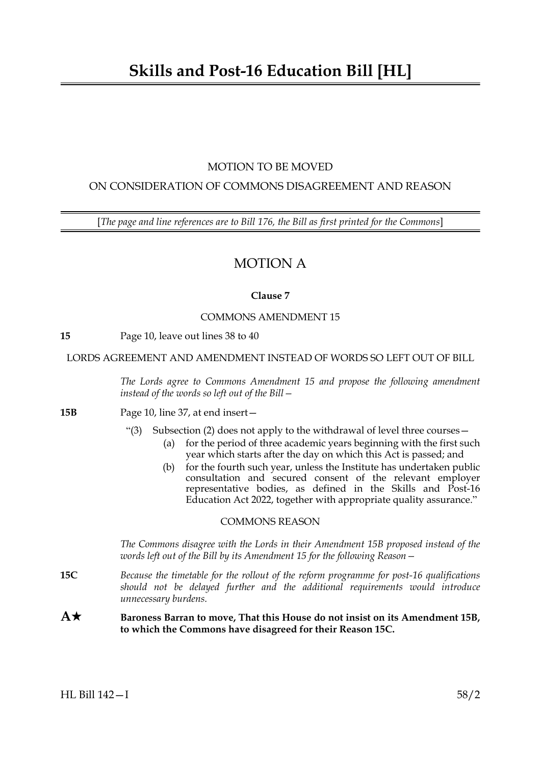## MOTION TO BE MOVED

## ON CONSIDERATION OF COMMONS DISAGREEMENT AND REASON

[*The page and line references are to Bill 176, the Bill as first printed for the Commons*]

# MOTION A

#### **Clause 7**

### COMMONS AMENDMENT 15

**15** Page 10, leave out lines 38 to 40

LORDS AGREEMENT AND AMENDMENT INSTEAD OF WORDS SO LEFT OUT OF BILL

*The Lords agree to Commons Amendment 15 and propose the following amendment instead of the words so left out of the Bill—*

- **15B** Page 10, line 37, at end insert—
	- "(3) Subsection (2) does not apply to the withdrawal of level three courses—
		- (a) for the period of three academic years beginning with the first such year which starts after the day on which this Act is passed; and
		- (b) for the fourth such year, unless the Institute has undertaken public consultation and secured consent of the relevant employer representative bodies, as defined in the Skills and Post-16 Education Act 2022, together with appropriate quality assurance."

#### COMMONS REASON

*The Commons disagree with the Lords in their Amendment 15B proposed instead of the words left out of the Bill by its Amendment 15 for the following Reason—*

- **15C** *Because the timetable for the rollout of the reform programme for post-16 qualifications should not be delayed further and the additional requirements would introduce unnecessary burdens.*
- **A Baroness Barran to move, That this House do not insist on its Amendment 15B, to which the Commons have disagreed for their Reason 15C.**